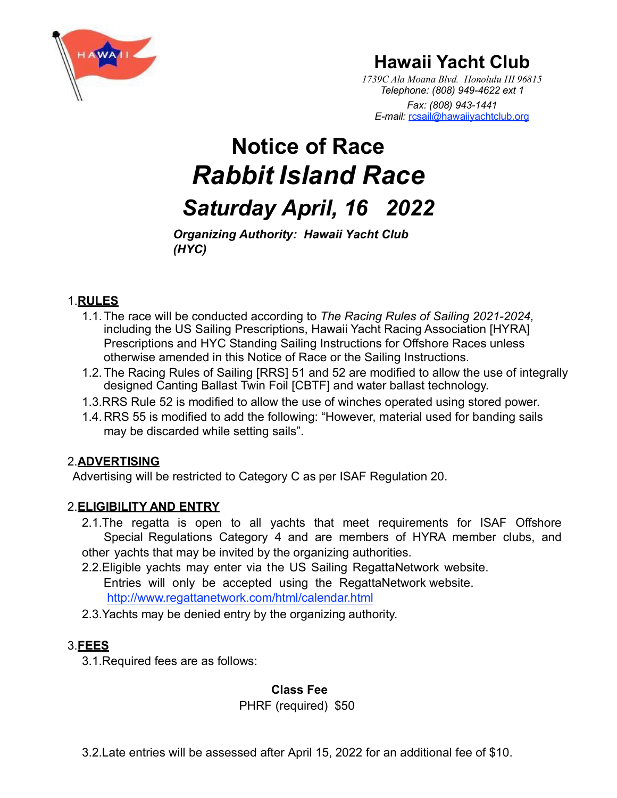

# **Hawaii Yacht Club**

*1739C Ala Moana Blvd. Honolulu HI 96815 Telephone: (808) 949-4622 ext 1 Fax: (808) 943-1441 E-mail:* [rcsail@hawaiiyachtclub.org](mailto:rcsail@hawaiiyachtclub.org)

# **Notice of Race** *Rabbit Island Race Saturday April, 16 2022*

*Organizing Authority: Hawaii Yacht Club (HYC)*

### 1.**RULES**

- 1.1.The race will be conducted according to *The Racing Rules of Sailing 2021-2024,* including the US Sailing Prescriptions, Hawaii Yacht Racing Association [HYRA] Prescriptions and HYC Standing Sailing Instructions for Offshore Races unless otherwise amended in this Notice of Race or the Sailing Instructions.
- 1.2.The Racing Rules of Sailing [RRS] 51 and 52 are modified to allow the use of integrally designed Canting Ballast Twin Foil [CBTF] and water ballast technology.
- 1.3.RRS Rule 52 is modified to allow the use of winches operated using stored power.
- 1.4.RRS 55 is modified to add the following: "However, material used for banding sails may be discarded while setting sails".

# 2.**ADVERTISING**

Advertising will be restricted to Category C as per ISAF Regulation 20.

# 2.**ELIGIBILITY AND ENTRY**

- 2.1.The regatta is open to all yachts that meet requirements for ISAF Offshore Special Regulations Category 4 and are members of HYRA member clubs, and other yachts that may be invited by the organizing authorities.
- 2.2.Eligible yachts may enter via the US Sailing RegattaNetwork website. Entries will only be accepted using the RegattaNetwork website. <http://www.regattanetwork.com/html/calendar.html>
- 2.3.Yachts may be denied entry by the organizing authority.

# 3.**FEES**

3.1.Required fees are as follows:

#### **Class Fee**

PHRF (required) \$50